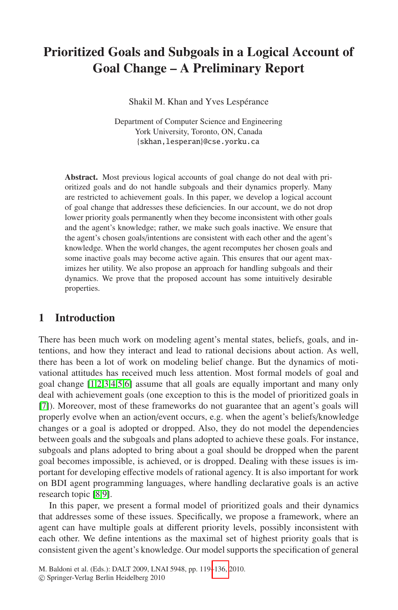# **Prioritized Goals and Subgoals in a Logical Account of Goal Change – A Preliminary Report**

Shakil M. Khan and Yves Lespérance

Department of Computer Science and Engineering York University, Toronto, ON, Canada {skhan,lesperan}@cse.yorku.ca

**Abstract.** Most previous logical accounts of goal change do not deal with prioritized goals and do not handle subgoals and their dynamics properly. Many are restricted to achievement goals. In this paper, we develop a logical account of goal change that addresses these deficiencies. In our account, we do not drop lower priority goals permanently when they become inconsistent with other goals and the agent's knowledge; rather, we make such goals inactive. We ensure that the agent's chosen goals/intentions are consistent with each other and the agent's knowledge. When the world changes, the agent recomputes her chosen goals and some inactive goals may become active again. This ensures that our agent maximizes her utility. We also propose an approach for handling subgoals and their dynamics. We prove that the proposed account has some intuitively desirable properties.

# **1 Introduction**

There has been much work on modeling agent's mental states, beliefs, goals, and intentions, and how they interact and lead to rational decisions about action. As well, there has been a lot of work on modeling belief change. But the dynamics of motivational attitudes has received much less attention. Most formal models of goal and goal change [1,2,3,4,5,6] assume that all goals are equally important and many only deal with achievement goals (one exception to this is the model of prioritized goals in [7]). Moreover, most of these frameworks do not guarantee that an agent's goals will properly evolve when an action/event occurs, e.g. when the agent's beliefs/knowledge changes or a goal is adopted or dropped. Also, they do not model the dependencies between goals and the subgoals and plans adopted to achieve these goals. For instance, subgoals and plans adopted to bring about a goal should be dropped when the parent goal becomes impossible, is achieved, or is dropped. Dealing with these issues is important for developing effective models of rational agency. It is also important for work on BDI agent programmi[ng la](#page-17-0)nguages, where handling declarative goals is an active research topic [8,9].

In this paper, we present a formal model of prioritized goals and their dynamics that addresses some of these issues. Specifically, we propose a framework, where an agent can have multiple goals at different priority levels, possibly inconsistent with each other. We define intentions as the maximal set of highest priority goals that is consistent given the agent's knowledge. Our model supports the specification of general

M. Baldoni et al. (Eds.): DALT 2009, LNAI 5948, pp. 119–136, 2010.

<sup>-</sup>c Springer-Verlag Berlin Heidelberg 2010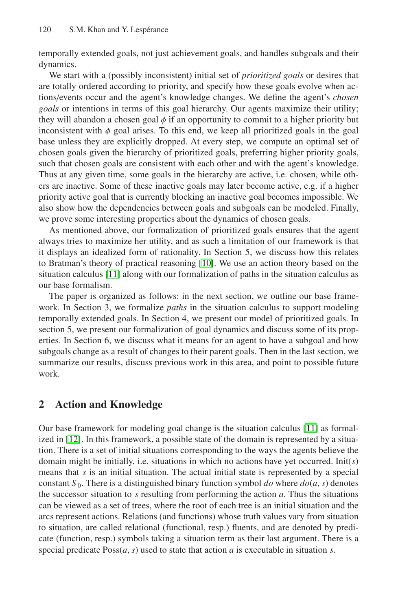temporally extended goals, not just achievement goals, and handles subgoals and their dynamics.

We start with a (possibly inconsistent) initial set of *prioritized goals* or desires that are totally ordered according to priority, and specify how these goals evolve when actions/events occur and the agent's knowledge changes. We define the agent's *chosen goals* or intentions in terms of this goal hierarchy. Our agents maximize their utility; they will abandon a chosen goal  $\phi$  if an opportunity to commit to a higher priority but inconsistent with  $\phi$  goal arises. To this end, we keep all prioritized goals in the goal base unless they are explicitly dropped. At every step, we compute an optimal set of chosen goals given the hierarchy of prioritized goals, preferring higher priority goals, such that chosen goals are consistent with each other and with the agent's knowledge. Thus at any given time[, so](#page-17-1)me goals in the hierarchy are active, i.e. chosen, while oth[e](#page-17-2)rs are inactive. Some of these inactive goals may later become active, e.g. if a higher priority active goal that is currently blocking an inactive goal becomes impossible. We also show how the dependencies between goals and subgoals can be modeled. Finally, we prove some interesting properties about the dynamics of chosen goals.

As mentioned above, our formalization of prioritized goals ensures that the agent always tries to maximize her utility, and as such a limitation of our framework is that it displays an idealized form of rationality. In Section 5, we discuss how this relates to Bratman's theory of practical reasoning [10]. We use an action theory based on the situation calculus [11] along with our formalization of paths in the situation calculus as our base formalism.

The paper is organized as follows: in the next section, we outline our base framework. In Section 3, we formalize *paths* in the situation calculus to support modeling temporally extended goals. In Section 4, we present our model of prioritized goals. In section 5, we present our formalization of goal dynamics and discuss some of its properties. In Section 6, we discuss what it means for [an a](#page-17-2)gent to have a subgoal and how subgoals change as a result of changes to their parent goals. Then in the last section, we summarize our results, discuss previous work in this area, and point to possible future work.

# **2 Action and Knowledge**

Our base framework for modeling goal change is the situation calculus [11] as formalized in [12]. In this framework, a possible state of the domain is represented by a situation. There is a set of initial situations corresponding to the ways the agents believe the domain might be initially, i.e. situations in which no actions have yet occurred. Init(*s*) means that *s* is an initial situation. The actual initial state is represented by a special constant *S*<sub>0</sub>. There is a distinguished binary function symbol *do* where  $do(a, s)$  denotes the successor situation to *s* resulting from performing the action *a*. Thus the situations can be viewed as a set of trees, where the root of each tree is an initial situation and the arcs represent actions. Relations (and functions) whose truth values vary from situation to situation, are called relational (functional, resp.) fluents, and are denoted by predicate (function, resp.) symbols taking a situation term as their last argument. There is a special predicate Poss(*a*, *s*) used to state that action *a* is executable in situation *s*.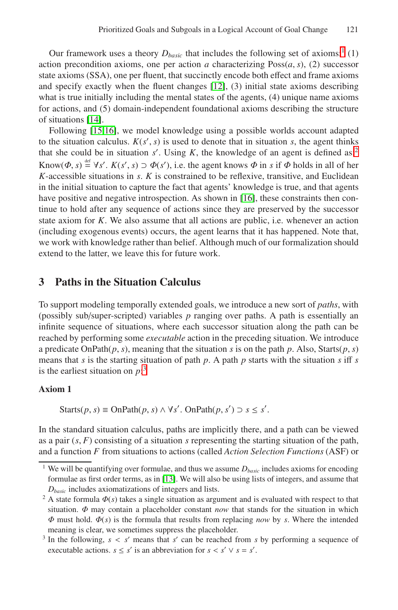Our framework uses a theory  $D_{basic}$  that includes the following set of axioms:<sup>1</sup> (1) action precondition axioms, one per action *a* characterizing  $Poss(a, s)$  $Poss(a, s)$  $Poss(a, s)$ , (2) successor state axioms (SSA), one per fluent, that succinctly encode both effect and frame axioms and specify exactly when the fluent changes [12], (3) initial state axioms describing what is true initially including the mental states of the agents, (4) unique name axioms for actions, and (5) domain-indep[end](#page-17-3)ent foundational axioms describing the structure of situations [14].

Following [15,16], we model knowledge using a possible worlds account adapted to the situation calculus.  $K(s', s)$  is used to denote that in situation  $s$ , the agent thinks that she could be in situation  $s'$ . Using  $K$ , the knowledge of an agent is defined as:<sup>2</sup> Know $(\Phi, s) \stackrel{\text{def}}{=} \forall s'$ .  $K(s', s) \supset \Phi(s')$ , i.e. the agent knows  $\Phi$  in *s* if  $\Phi$  holds in all of her *K*-accessible situations in *s*. *K* is constrained to be reflexive, transitive, and Euclidean in the initial situation to capture the fact that agents' knowledge is true, and that agents have positive and negative introspection. As shown in [16], these constraints then continue to hold after any sequence of actions since they are preserved by the successor state axiom for *K*. We also assume that all actions are public, i.e. whenever an action (including exogenous events) occurs, the agent learns that it has happened. Note that, we work with knowledge rather than belief. Although much of our formalization should extend to the latter, we leave this for future work.

## **3 P[at](#page-2-1)hs in the Situation Calculus**

To support modeling temporally extended goals, we introduce a new sort of *paths*, with (possibly sub/super-scripted) variables *p* ranging over paths. A path is essentially an infinite sequence of situations, where each successor situation along the path can be reached by performing some *executable* action in the preceding situation. We introduce a predicate OnPath $(p, s)$ , meaning that the situation *s* is on the path *p*. Also, Starts $(p, s)$ means that *s* is the starting situation of path *p*. A path *p* starts with the situation *s* iff *s* is the earliest situation on  $p$ <sup>3</sup>

#### **Axiom 1**

 $\text{Starts}(p, s) \equiv \text{OnPath}(p, s) \land \forall s'. \text{OnPath}(p, s') \supset s \leq s'.$ 

<span id="page-2-0"></span>In the standard situation calculus, paths are implicitly there, and a path can be viewed as a pair (*s*, *F*) consisting of a situation *s* representing the starting situation of the path, and a function *F* from situations to actions (called *Action Selection Functions* (ASF) or

<span id="page-2-1"></span><sup>&</sup>lt;sup>1</sup> We will be quantifying over formulae, and thus we assume  $D_{basic}$  includes axioms for encoding formulae as first order terms, as in [13]. We will also be using lists of integers, and assume that *Dbasic* includes axiomatizations of integers and lists.

<sup>&</sup>lt;sup>2</sup> A state formula  $\Phi(s)$  takes a single situation as argument and is evaluated with respect to that situation. Φ may contain a placeholder constant *now* that stands for the situation in which Φ must hold. Φ(*s*) is the formula that results from replacing *now* by *s*. Where the intended meaning is clear, we sometimes suppress the placeholder.

 $3$  In the following,  $s < s'$  means that  $s'$  can be reached from  $s$  by performing a sequence of executable actions.  $s \leq s'$  is an abbreviation for  $s < s' \vee s = s'$ .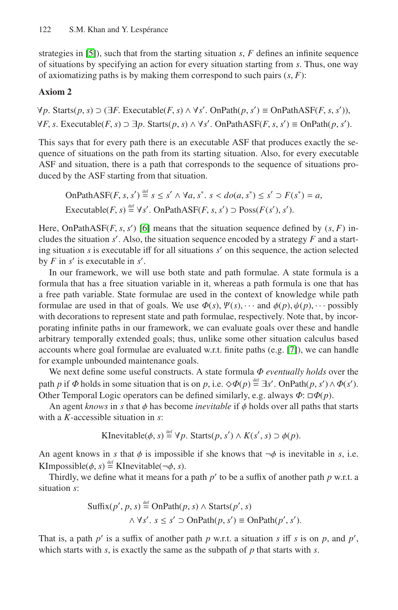strategies in [5]), such that from the starting situation *s*, *F* defines an infinite sequence of situations by specifying an action for every situation starting from *s*. Thus, one way of axiomatizing paths is by making them correspond to such pairs (*s*, *F*):

## **Axiom 2**

 $∀p$ . Starts(*p*, *s*) ⊃ (∃*F*. Executable(*F*, *s*) ∧  $∀s'$ . OnPath(*p*, *s'*) ≡ OnPathASF(*F*, *s*, *s'*)),  $∀F, s.$  Executable $(F, s) \supset \exists p$ . Starts $(p, s) \wedge \forall s'$ . OnPathASF $(F, s, s') \equiv \text{OnPath}(p, s')$ .

This s[ays](#page-16-0) that for every path there is an executable ASF that produces exactly the sequence of situations on the path from its starting situation. Also, for every executable ASF and situation, there is a path that corresponds to the sequence of situations produced by the ASF starting from that situation.

OnPathASF(F, s, s') 
$$
\stackrel{\text{def}}{=} s \le s' \land \forall a, s^*
$$
.  $s < do(a, s^*) \le s' \supset F(s^*) = a$ ,  
Executeable(F, s)  $\stackrel{\text{def}}{=} \forall s'$ . OnPathASF(F, s, s')  $\supset \text{Poss}(F(s'), s')$ .

Here, OnPathASF( $F$ ,  $s$ ,  $s'$ ) [6] means that the situation sequence defined by  $(s, F)$  includes the situation *s* . Also, the situation sequence encoded by a strategy *F* and a starting situation *s* is executable iff for all situations *s'* on this sequence, the action selected by  $F$  in  $s'$  is executable in  $s'$ .

In our framework, we will use both state [and](#page-16-1) path formulae. A state formula is a formula that has a free situation variable in it, whereas a path formula is one that has a free path variable. State formulae are used in the context of knowledge while path formulae are used in that of goals. We use  $\Phi(s)$ ,  $\Psi(s)$ ,  $\cdots$  and  $\phi(p)$ ,  $\psi(p)$ ,  $\cdots$  possibly with decorations to represent state and path formulae, respectively. Note that, by incorporating infinite paths in our framework, we can evaluate goals over these and handle arbitrary temporally extended goals; thus, unlike some other situation calculus based accounts where goal formulae are evaluated w.r.t. finite paths (e.g. [7]), we can handle for example unbounded maintenance goals.

We next define some useful constructs. A state formula Φ *eventually holds* over the path *p* if  $\Phi$  holds in some situation that is on *p*, i.e.  $\Diamond \Phi(p) \stackrel{\text{def}}{=} \exists s'$ . OnPath $(p, s') \land \Phi(s')$ . Other Temporal Logic operators can be defined similarly, e.g. always  $\Phi$ :  $\Box \Phi(p)$ .

An agent *knows* in *s* that φ has become *inevitable* if φ holds over all paths that starts with a *K*-accessible situation in *s*:

$$
KInevitable(\phi, s) \stackrel{\text{def}}{=} \forall p. \text{ starts}(p, s') \land K(s', s) \supset \phi(p).
$$

An agent knows in *s* that  $\phi$  is impossible if she knows that  $\neg \phi$  is inevitable in *s*, i.e. KImpossible( $\phi$ , *s*)  $\stackrel{\text{def}}{=}$  KInevitable( $\neg \phi$ , *s*).

Thirdly, we define what it means for a path  $p'$  to be a suffix of another path  $p$  w.r.t. a situation *s*:

Suffix(
$$
p'
$$
,  $p$ ,  $s$ )  $\stackrel{\text{def}}{=} \text{OnPath}(p, s) \land \text{Starts}(p', s)$   
∧  $\forall s'$ .  $s \leq s' \supset \text{OnPath}(p, s') \equiv \text{OnPath}(p', s').$ 

That is, a path  $p'$  is a suffix of another path  $p$  w.r.t. a situation  $s$  iff  $s$  is on  $p$ , and  $p'$ , which starts with *s*, is exactly the same as the subpath of *p* that starts with *s*.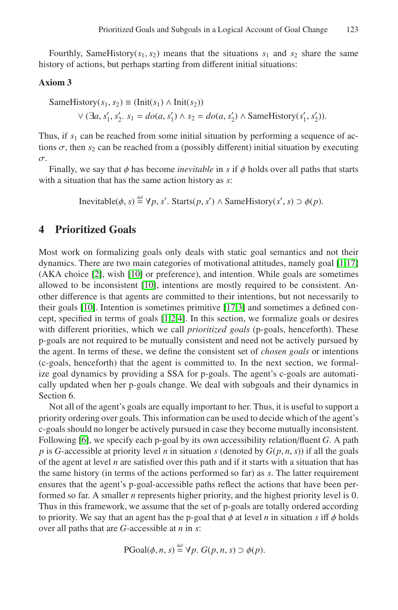Fourthly, SameHistory( $s_1$ ,  $s_2$ ) means that the situations  $s_1$  and  $s_2$  share the same history of actions, but perhaps starting from different initial situations:

#### **Axiom 3**

SameHistory( $s_1, s_2$ ) ≡ (Init( $s_1$ ) ∧ Init( $s_2$ ))

∨ (∃*a*, *s*'<sub>1</sub>, *s*'<sub>2</sub>, *s*<sub>1</sub> = *do*(*a*, *s*'<sub>1</sub>) ∧ *s*<sub>2</sub> = *do*(*a*, *s*'<sub>2</sub>) ∧ SameHistory(*s*'<sub>1</sub>, *s*'<sub>2</sub>)).

Thus, if  $s_1$  can be reached from some initial situation by performing a sequence of actions  $\sigma$ , then  $s_2$  can be reached from a (possibly different) initial situation by executing σ.

Finally, we say that  $\phi$  has become *inevitable* in *s* if  $\phi$  hol[ds](#page-16-2) [ove](#page-17-4)r all paths that starts wit[h](#page-17-1) [a](#page-17-1) [s](#page-17-1)ituation that has the same action history as *s*:

Inevitable( $\phi$ , *s*)  $\stackrel{\text{def}}{=} \forall p, s'$ . Starts( $p, s'$ )  $\land$  SameHistory( $s', s$ )  $\supset \phi(p)$ .

# **4 Priori[tiz](#page-16-2)[e](#page-16-3)[d](#page-16-4) Goals**

Most work on formalizing goals only deals with static goal semantics and not their dynamics. There are two main categories of motivational attitudes, namely goal [1,17] (AKA choice [2], wish [10] or preference), and intention. While goals are sometimes allowed to be inconsistent [10], intentions are mostly required to be consistent. Another difference is that agents are committed to their intentions, but not necessarily to their goals [10]. Intention is sometimes primitive [17,3] and sometimes a defined concept, specified in terms of goals [1,2,4]. In this section, we formalize goals or desires with different priorities, which we call *prioritized goals* (p-goals, henceforth). These p-goals are not required to be mutually consistent and need not be actively pursued by the agent. In terms of these, we define the consistent set of *chosen goals* or intentions (c-goals, henceforth) that the agent is committed to. In the next section, we formalize goal dynamics by providing a SSA for p-goals. The agent's c-goals are automatically updated when her p-goals change. We deal with subgoals and their dynamics in Section 6.

Not all of the agent's goals are equally important to her. Thus, it is useful to support a priority ordering over goals. This information can be used to decide which of the agent's c-goals should no longer be actively pursued in case they become mutually inconsistent. Following [6], we specify each p-goal by its own accessibility relation/fluent *G*. A path *p* is *G*-accessible at priority level *n* in situation *s* (denoted by  $G(p, n, s)$ ) if all the goals of the agent at level  $n$  are satisfied over this path and if it starts with a situation that has the same history (in terms of the actions performed so far) as *s*. The latter requirement ensures that the agent's p-goal-accessible paths reflect the actions that have been performed so far. A smaller *n* represents higher priority, and the highest priority level is 0. Thus in this framework, we assume that the set of p-goals are totally ordered according to priority. We say that an agent has the p-goal that  $\phi$  at level *n* in situation *s* iff  $\phi$  holds over all paths that are *G*-accessible at *n* in *s*:

$$
\text{PGoal}(\phi, n, s) \stackrel{\text{def}}{=} \forall p. \ G(p, n, s) \supset \phi(p).
$$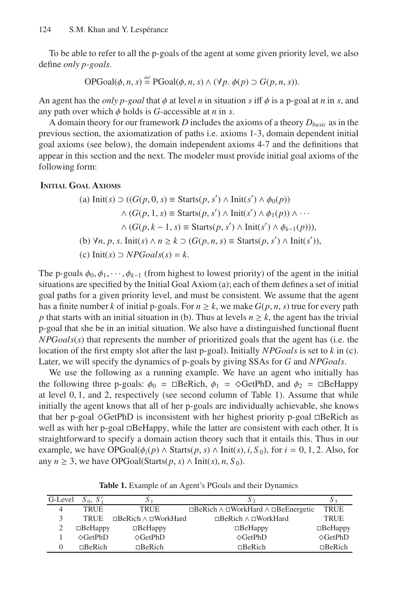To be able to refer to all the p-goals of the agent at some given priority level, we also define *only p-goals*.

 $OPGoal(\phi, n, s) \stackrel{\text{def}}{=} PGoal(\phi, n, s) \land (\forall p. \phi(p) \supset G(p, n, s)).$ 

An agent has the *only p-goal* that  $\phi$  at level *n* in situation *s* iff  $\phi$  is a p-goal at *n* in *s*, and any path over which φ holds is *G*-accessible at *n* in *s*.

A domain theory for our framework *D* includes the axioms of a theory *Dbasic* as in the previous section, the axiomatization of paths i.e. axioms 1-3, domain dependent initial goal axioms (see below), the domain independent axioms 4-7 and the definitions that appear in this section and the next. The modeler must provide initial goal axioms of the following form:

### **INITIAL GOAL AXIOMS**

\n- (a) 
$$
Init(s) \supset ((G(p, 0, s) \equiv Starts(p, s') \land Init(s') \land \phi_0(p)) \land (G(p, 1, s) \equiv Starts(p, s') \land Init(s') \land \phi_1(p)) \land \cdots \land (G(p, k-1, s) \equiv Starts(p, s') \land Init(s') \land \phi_{k-1}(p))),
$$
\n- (b)  $\forall n, p, s$ .  $Init(s) \land n \geq k \supset (G(p, n, s) \equiv Starts(p, s') \land Init(s')),$
\n- (c)  $Init(s) \supset NPGoals(s) = k$
\n

The p-goals  $\phi_0, \phi_1, \dots, \phi_{k-1}$  (from highest to lowest priority) of the agent in the initial situations are specified by the Initial Goal Axiom (a); each of them defines a set of initial goal paths for a given priority level, and must be consistent. We assume that the agent has a finite number *k* of initial p-goals. For  $n \geq k$ , we make  $G(p, n, s)$  true for every path *p* that starts with an initial situation in (b). Thus at levels  $n \geq k$ , the agent has the trivial p-goal that she be in an initial situation. We also have a distinguished functional fluent *NPGoals*(*s*) that represents the number of prioritized goals that the agent has (i.e. the location of the first empty slot after the last p-goal). Initially *NPGoals* is set to *k* in (c). Later, we will specify the dynamics of p-goals by giving SSAs for *G* and *NPGoals*.

We use the following as a running example. We have an agent who initially has the following three p-goals:  $\phi_0 = \Box \text{BeRich}, \phi_1 = \Diamond \text{GetPhD}, \text{ and } \phi_2 = \Box \text{BeHappy}$ at level 0, 1, and 2, respectively (see second column of Table 1). Assume that while initially the agent knows that all of her p-goals are individually achievable, she knows that her p-goal  $\Diamond$ GetPhD is inconsistent with her highest priority p-goal  $\Box$ BeRich as well as with her p-goal  $\Box$ BeHappy, while the latter are consistent with each other. It is straightforward to specify a domain action theory such that it entails this. Thus in our example, we have  $OPGoal(\phi_i(p) \land Starts(p, s) \land Init(s), i, S_0)$ , for  $i = 0, 1, 2$ . Also, for any  $n \geq 3$ , we have OPGoal(Starts( $p, s$ ) ∧ Init( $s$ ),  $n, S_0$ ).

| G-Level | $S_0$ , $S'_1$            |                                       |                                                                  | ج د               |
|---------|---------------------------|---------------------------------------|------------------------------------------------------------------|-------------------|
| 4       | TRUE                      | TRUE                                  | $\Box$ BeRich $\land$ $\Box$ WorkHard $\land$ $\Box$ BeEnergetic | <b>TRUE</b>       |
|         | TRUE                      | $\Box$ BeRich $\land$ $\Box$ WorkHard | $\Box$ BeRich $\land$ $\Box$ WorkHard                            | <b>TRUE</b>       |
|         | $\Box$ BeHappy            | $\Box$ BeHappy                        | $\Box$ BeHappy                                                   | $\Box$ BeHappy    |
|         | $\Diamond$ GetPhD         | $\Diamond$ GetPhD                     | $\Diamond$ GetPhD                                                | $\Diamond$ GetPhD |
|         | $\Box$ Re $\mathrm{Rich}$ | $\Box$ BeRich                         | $\Box$ BeRich                                                    | $\Box$ BeRich     |

**Table 1.** Example of an Agent's PGoals and their Dynamics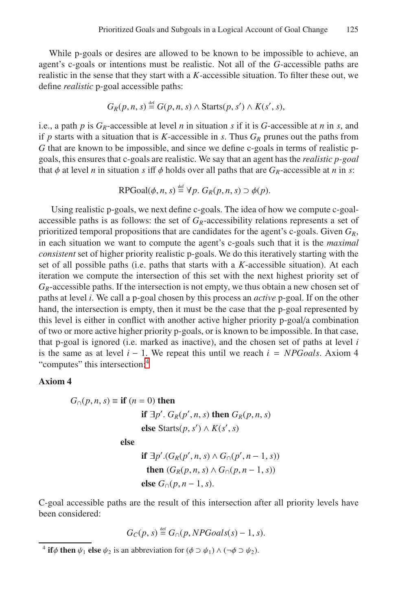While p-goals or desires are allowed to be known to be impossible to achieve, an agent's c-goals or intentions must be realistic. Not all of the *G*-accessible paths are realistic in the sense that they start with a *K*-accessible situation. To filter these out, we define *realistic* p-goal accessible paths:

$$
G_R(p, n, s) \stackrel{\text{def}}{=} G(p, n, s) \wedge \text{Starts}(p, s') \wedge K(s', s),
$$

i.e., a path  $p$  is  $G_R$ -accessible at level  $n$  in situation  $s$  if it is  $G$ -accessible at  $n$  in  $s$ , and if  $p$  starts with a situation that is  $K$ -accessible in  $s$ . Thus  $G_R$  prunes out the paths from *G* that are known to be impossible, and since we define c-goals in terms of realistic pgoals, this ensures that c-goals are realistic. We say that an agent has the *realistic p-goal* that  $\phi$  at level *n* in situation *s* iff  $\phi$  holds over all paths that are  $G_R$ -accessible at *n* in *s*:

$$
RPGoal(\phi, n, s) \stackrel{\text{def}}{=} \forall p. \ G_R(p, n, s) \supset \phi(p).
$$

Using realistic p-goals, we next define c-goals. The idea of how we compute c-goalaccessible paths is as follows: the set of *GR*-accessibility relations represents a set of prioritized temporal propositions that are candidates for the agent's c-goals. Given *GR*, in each situation we want to compute the agent's c-goals such that it is the *maximal consistent* set of higher priority realistic p-goals. We do this iteratively starting with the set of all possible paths (i.e. paths that starts with a *K*-accessible situation). At each iteratio[n](#page-6-0) we compute the intersection of this set with the next highest priority set of *GR*-accessible paths. If the intersection is not empty, we thus obtain a new chosen set of paths at level *i*. We call a p-goal chosen by this process an *active* p-goal. If on the other hand, the intersection is empty, then it must be the case that the p-goal represented by this level is either in conflict with another active higher priority p-goal/a combination of two or more active higher priority p-goals, or is known to be impossible. In that case, that p-goal is ignored (i.e. marked as inactive), and the chosen set of paths at level *i* is the same as at level  $i - 1$ . We repeat this until we reach  $i = NPGools$ . Axiom 4 "computes" this intersection:<sup>4</sup>

### **Axiom 4**

$$
G_{\cap}(p, n, s) \equiv \textbf{if } (n = 0) \text{ then}
$$
\n
$$
\textbf{if } \exists p'. \ G_R(p', n, s) \text{ then } G_R(p, n, s)
$$
\n
$$
\textbf{else } \text{Starts}(p, s') \land K(s', s)
$$
\n
$$
\textbf{else}
$$
\n
$$
\textbf{if } \exists p'. (G_R(p', n, s) \land G_{\cap}(p', n - 1, s))
$$
\n
$$
\textbf{then } (G_R(p, n, s) \land G_{\cap}(p, n - 1, s))
$$

else 
$$
G_{\cap}(p, n-1, s)
$$
.

<span id="page-6-0"></span>C-goal accessible paths are the result of this intersection after all priority levels have been considered:

$$
G_C(p, s) \stackrel{\text{def}}{=} G_{\cap}(p, \textit{NPGoals}(s) - 1, s).
$$

<sup>&</sup>lt;sup>4</sup> **if** $\phi$  **then**  $\psi_1$  **else**  $\psi_2$  is an abbreviation for  $(\phi \supset \psi_1) \wedge (\neg \phi \supset \psi_2)$ .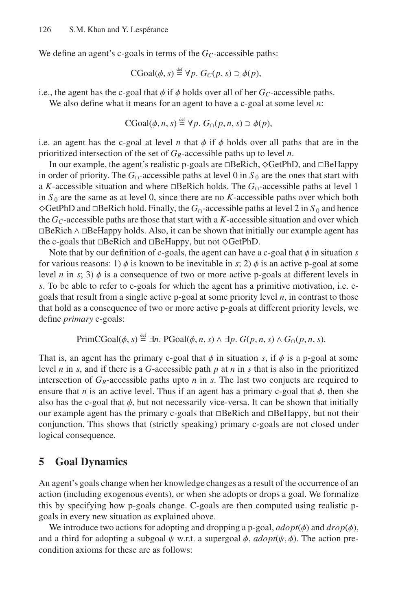We define an agent's c-goals in terms of the  $G<sub>C</sub>$ -accessible paths:

$$
CGoal(\phi, s) \stackrel{\text{def}}{=} \forall p. \ G_C(p, s) \supset \phi(p),
$$

i.e., the agent has the c-goal that  $\phi$  if  $\phi$  holds over all of her  $G_C$ -accessible paths.

We also define what it means for an agent to have a c-goal at some level *n*:

$$
CGoal(\phi, n, s) \stackrel{\text{def}}{=} \forall p. G_{\cap}(p, n, s) \supset \phi(p),
$$

i.e. an agent has the c-goal at level *n* that  $\phi$  if  $\phi$  holds over all paths that are in the prioritized intersection of the set of  $G_R$ -accessible paths up to level *n*.

In our example, the agent's realistic p-goals are  $\Box$ BeRich,  $\Diamond$ GetPhD, and  $\Box$ BeHappy in order of priority. The  $G_0$ -accessible paths at level 0 in  $S_0$  are the ones that start with a *K*-accessible situation and where  $\Box$ BeRich holds. The  $G_{\cap}$ -accessible paths at level 1 in  $S_0$  are the same as at level 0, since there are no *K*-accessible paths over which both  $\diamond$ GetPhD and □BeRich hold. Finally, the *G*<sub>∩</sub>-accessible paths at level 2 in *S*<sub>0</sub> and hence the *GC*-accessible paths are those that start with a *K*-accessible situation and over which ⊡BeRich ∧ □BeHappy holds. Also, it can be shown that initially our example agent has the c-goals that ⊡BeRich and ⊡BeHappy, but not  $\diamond$ GetPhD.

Note that by our definition of c-goals, the agent can have a c-goal that  $\phi$  in situation *s* for various reasons: 1)  $\phi$  is known to be inevitable in *s*; 2)  $\phi$  is an active p-goal at some level *n* in *s*; 3)  $\phi$  is a consequence of two or more active p-goals at different levels in *s*. To be able to refer to c-goals for which the agent has a primitive motivation, i.e. cgoals that result from a single active p-goal at some priority level *n*, in contrast to those that hold as a consequence of two or more active p-goals at different priority levels, we define *primary* c-goals:

$$
PrimCGoal(\phi, s) \stackrel{\text{def}}{=} \exists n. PGoal(\phi, n, s) \land \exists p. G(p, n, s) \land G_{\cap}(p, n, s).
$$

That is, an agent has the primary c-goal that  $\phi$  in situation *s*, if  $\phi$  is a p-goal at some level *n* in *s*, and if there is a *G*-accessible path *p* at *n* in *s* that is also in the prioritized intersection of  $G_R$ -accessible paths upto  $n$  in  $s$ . The last two conjucts are required to ensure that *n* is an active level. Thus if an agent has a primary c-goal that  $\phi$ , then she also has the c-goal that  $\phi$ , but not necessarily vice-versa. It can be shown that initially our example agent has the primary c-goals that  $\Box$ BeRich and  $\Box$ BeHappy, but not their conjunction. This shows that (strictly speaking) primary c-goals are not closed under logical consequence.

# **5 Goal Dynamics**

An agent's goals change when her knowledge changes as a result of the occurrence of an action (including exogenous events), or when she adopts or drops a goal. We formalize this by specifying how p-goals change. C-goals are then computed using realistic pgoals in every new situation as explained above.

We introduce two actions for adopting and dropping a p-goal,  $\frac{adopt(\phi)}{adopt(\phi)}$ , and a third for adopting a subgoal  $\psi$  w.r.t. a supergoal  $\phi$ ,  $\frac{d\phi p(t(\psi, \phi))}{dt}$ . The action precondition axioms for these are as follows: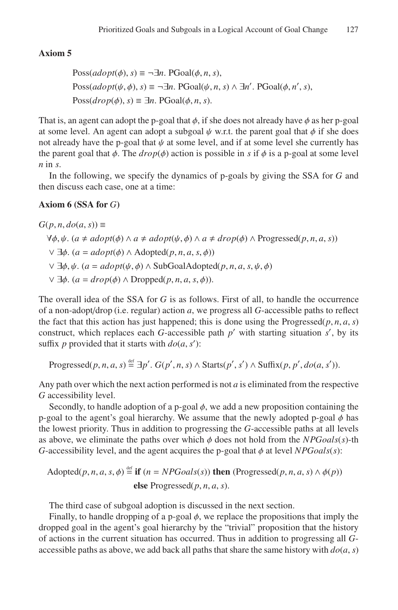### **Axiom 5**

 $Poss(adopt(\phi), s) \equiv \neg \exists n. PGoal(\phi, n, s),$  $Poss(adopt(\psi, \phi), s) \equiv \neg \exists n. PGoal(\psi, n, s) \land \exists n'. PGoal(\phi, n', s),$  $Poss(drop(\phi), s) \equiv \exists n. PGoal(\phi, n, s).$ 

That is, an agent can adopt the p-goal that  $\phi$ , if she does not already have  $\phi$  as her p-goal at some level. An agent can adopt a subgoal  $\psi$  w.r.t. the parent goal that  $\phi$  if she does not already have the p-goal that  $\psi$  at some level, and if at some level she currently has the parent goal that  $\phi$ . The  $drop(\phi)$  action is possible in *s* if  $\phi$  is a p-goal at some level *n* in *s*.

In the following, we specify the dynamics of p-goals by giving the SSA for *G* and then discuss each case, one at a time:

# **Axiom 6 (SSA for** *G***)**

 $G(p, n, do(a, s)) \equiv$  $\forall \phi, \psi \in (a \neq adopt(\phi) \land a \neq adopt(\psi, \phi) \land a \neq drop(\phi) \land Progressed(p, n, a, s))$  $∨ ∃/φ. (a = adopt(φ) ∧ Adopted(p, n, a, s, φ))$  $∨$  ∃ $φ$ ,  $ψ$ . (*a* = *adopt*( $ψ$ ,  $φ$ ) ∧ SubGoalAdopted( $p$ , *n*, *a*, *s*,  $ψ$ ,  $φ$ )  $∨$  ∃ $ϕ$ .  $(a = drop(ϕ) ∧ Drop(θ, n, a, s, φ)$ ).

The overall idea of the SSA for *G* is as follows. First of all, to handle the occurrence of a non-adopt/drop (i.e. regular) action *a*, we progress all *G*-accessible paths to reflect the fact that this action has just happened; this is done using the Progressed $(p, n, a, s)$ construct, which replaces each *G*-accessible path  $p'$  with starting situation  $s'$ , by its suffix *p* provided that it starts with  $do(a, s')$ :

Progressed(*p*, *n*, *a*, *s*)  $\stackrel{\text{def}}{=} \exists p'. G(p', n, s) \land \text{Starts}(p', s') \land \text{Suffix}(p, p', do(a, s')).$ 

Any path over which the next action performed is not *a* is eliminated from the respective *G* accessibility level.

Secondly, to handle adoption of a p-goal  $\phi$ , we add a new proposition containing the p-goal to the agent's goal hierarchy. We assume that the newly adopted p-goal  $\phi$  has the lowest priority. Thus in addition to progressing the *G*-accessible paths at all levels as above, we eliminate the paths over which  $\phi$  does not hold from the *NPGoals*(*s*)-th *G*-accessibility level, and the agent acquires the p-goal that  $\phi$  at level *NPGoals(s)*:

Adopted( $p, n, a, s, \phi$ )  $\stackrel{\text{def}}{=}$  **if** ( $n = NPGoal(s)$ ) **then** (Progressed( $p, n, a, s$ )  $\land \phi(p)$ ) **else** Progressed $(p, n, a, s)$ .

The third case of subgoal adoption is discussed in the next section.

Finally, to handle dropping of a p-goal  $\phi$ , we replace the propositions that imply the dropped goal in the agent's goal hierarchy by the "trivial" proposition that the history of actions in the current situation has occurred. Thus in addition to progressing all *G*accessible paths as above, we add back all paths that share the same history with  $do(a, s)$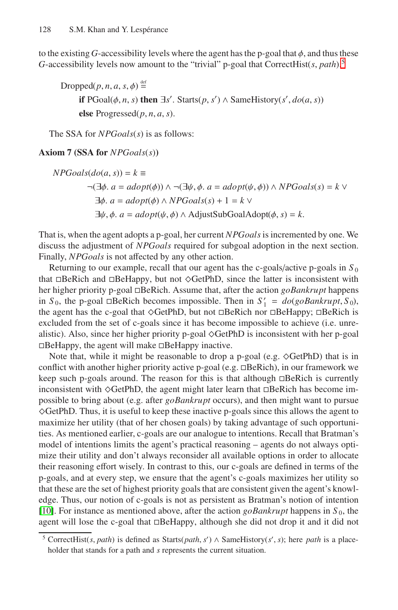to the existing *G*-accessibility levels where the agent has the p-goal that  $\phi$ , and thus these *G*-accessibility levels now amount to the "trivial" p-goal that CorrectHist(*s*, *path*).<sup>5</sup>

Dropped $(p, n, a, s, \phi) \stackrel{\text{def}}{=}$ **if** PGoal $(\phi, n, s)$  **then**  $\exists s'$ . Starts $(p, s') \wedge$  SameHistory $(s', do(a, s))$ **else** Progressed(*p*, *n*, *a*, *s*).

The SSA for *NPGoals*(*s*) is as follows:

#### **Axiom 7 (SSA for** *NPGoals*(*s*)**)**

 $NPGoals(do(a, s)) = k \equiv$  $\neg(\exists \phi, a = adopt(\phi)) \land \neg(\exists \psi, \phi, a = adopt(\psi, \phi)) \land NPGoal(s) = k \lor$  $\exists \phi$ .  $a = adopt(\phi) \land NPGoal(s) + 1 = k \lor$  $\exists \psi, \phi, a = adopt(\psi, \phi) \land \text{AdjustSubGoalAdopt}(\phi, s) = k.$ 

That is, when the agent adopts a p-goal, her current *NPGoals*is incremented by one. We discuss the adjustment of *NPGoals* required for subgoal adoption in the next section. Finally, *NPGoals* is not affected by any other action.

Returning to our example, recall that our agent has the c-goals/active p-goals in *S* <sup>0</sup> that  $\Box$ BeRich and  $\Box$ BeHappy, but not  $\Diamond$ GetPhD, since the latter is inconsistent with her higher priority p-goal □BeRich. Assume that, after the action *goBankrupt* happens in  $S_0$ , the p-goal  $\Box$ BeRich becomes impossible. Then in  $S'_1 = \text{do}(\text{goBankrupt}, S_0)$ , the agent has the c-goal that ☆GetPhD, but not □BeRich nor □BeHappy; □BeRich is excluded from the set of c-goals since it has become impossible to achieve (i.e. unrealistic). Also, since her higher priority p-goal  $\Diamond \text{GetPhD}$  is inconsistent with her p-goal  $\Box$ BeHappy, the agent will make  $\Box$ BeHappy inactive.

Note that, while it might be reasonable to drop a p-goal (e.g.  $\Diamond$ GetPhD) that is in conflict with another higher priority active p-goal (e.g. □BeRich), in our framework we keep such p-goals around. The reason for this is that although  $\Box$  BeRich is currently inconsistent with  $\Diamond \text{GetPhD}$ , the agent might later learn that  $\Box \text{BeRich}$  has become impossible to bring about (e.g. after *goBankrupt* occurs), and then might want to pursue -GetPhD. Thus, it is useful to keep these inactive p-goals since this allows the agent to maximize her utility (that of her chosen goals) by taking advantage of such opportunities. As mentioned earlier, c-goals are our analogue to intentions. Recall that Bratman's model of intentions limits the agent's practical reasoning – agents do not always optimize their utility and don't always reconsider all available options in order to allocate their reasoning effort wisely. In contrast to this, our c-goals are defined in terms of the p-goals, and at every step, we ensure that the agent's c-goals maximizes her utility so that these are the set of highest priority goals that are consistent given the agent's knowledge. Thus, our notion of c-goals is not as persistent as Bratman's notion of intention [10]. For instance as mentioned above, after the action  $\alpha \beta$  *goBankrupt* happens in  $S_0$ , the agent will lose the c-goal that  $\Box$ BeHappy, although she did not drop it and it did not

<sup>&</sup>lt;sup>5</sup> CorrectHist(*s*, *path*) is defined as Starts(*path*, *s*<sup> $′$ </sup>) ∧ SameHistory(*s*<sup> $′$ </sup>, *s*); here *path* is a placeholder that stands for a path and *s* represents the current situation.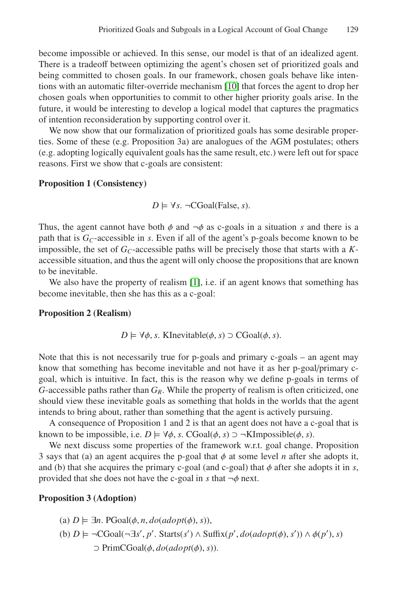become impossible or achieved. In this sense, our model is that of an idealized agent. There is a tradeoff between optimizing the agent's chosen set of prioritized goals and being committed to chosen goals. In our framework, chosen goals behave like intentions with an automatic filter-override mechanism [10] that forces the agent to drop her chosen goals when opportunities to commit to other higher priority goals arise. In the future, it would be interesting to develop a logical model that captures the pragmatics of intention reconsideration by supporting control over it.

We now show that our formalization of prioritized goals has some desirable properties. Some of these (e.g. Proposition 3a) are analogues of the AGM postulates; others (e.g. adopting logically equivalent goals has the same result, etc.) were left out for space reasons. First we show that c-goals are consistent:

#### **Proposition 1 (Consistency)**

### $D \models \forall s$ . ¬CGoal(False, *s*).

Thus, the agent cannot have both  $\phi$  and  $\neg \phi$  as c-goals in a situation *s* and there is a path that is  $G_C$ -accessible in *s*. Even if all of the agent's p-goals become known to be impossible, the set of  $G_C$ -accessible paths will be precisely those that starts with a  $K$ accessible situation, and thus the agent will only choose the propositions that are known to be inevitable.

We also have the property of realism [1], i.e. if an agent knows that something has become inevitable, then she has this as a c-goal:

### **Proposition 2 (Realism)**

 $D \models \forall \phi, s$ . KInevitable( $\phi, s$ ) ⊃ CGoal( $\phi, s$ ).

Note that this is not necessarily true for p-goals and primary c-goals – an agent may know that something has become inevitable and not have it as her p-goal/primary cgoal, which is intuitive. In fact, this is the reason why we define p-goals in terms of *G*-accessible paths rather than *GR*. While the property of realism is often criticized, one should view these inevitable goals as something that holds in the worlds that the agent intends to bring about, rather than something that the agent is actively pursuing.

A consequence of Proposition 1 and 2 is that an agent does not have a c-goal that is known to be impossible, i.e.  $D \models \forall \phi$ , *s*. CGoal $(\phi, s) \supset \neg$ KImpossible $(\phi, s)$ .

We next discuss some properties of the framework w.r.t. goal change. Proposition 3 says that (a) an agent acquires the p-goal that  $\phi$  at some level *n* after she adopts it, and (b) that she acquires the primary c-goal (and c-goal) that  $\phi$  after she adopts it in *s*. provided that she does not have the c-goal in *s* that  $\neg \phi$  next.

### **Proposition 3 (Adoption)**

- (a)  $D \models \exists n$ . PGoal( $\phi, n$ ,  $d\rho(\text{ad} \text{opt}(\phi), s)$ ),
- (b) *D*  $\models \neg CGoal(\neg \exists s', p'$ . Starts(*s'*) ∧ Suffix(*p'*,  $do(adopt(\phi), s')$ ) ∧  $\phi(p')$ , *s*)  $\supset$  PrimCGoal( $\phi$ ,  $d$ o( $ad$ o $pt$ ( $\phi$ ),  $s$ )).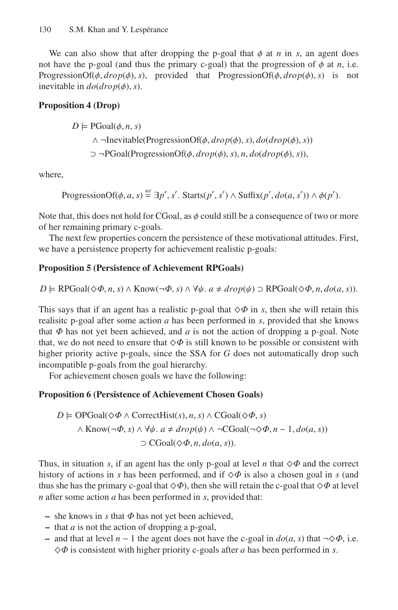We can also show that after dropping the p-goal that  $\phi$  at *n* in *s*, an agent does not have the p-goal (and thus the primary c-goal) that the progression of  $\phi$  at *n*, i.e. ProgressionOf( $\phi$ , *drop*( $\phi$ ), *s*), provided that ProgressionOf( $\phi$ , *drop*( $\phi$ ), *s*) is not inevitable in  $do(drop(\phi), s)$ .

# **Proposition 4 (Drop)**

 $D \models \text{PGoal}(\phi, n, s)$ ∧ ¬Inevitable(ProgressionOf(φ, *drop*(φ), *s*), *do*(*drop*(φ), *s*)) ⊃ ¬PGoal(ProgressionOf(φ, *drop*(φ), *s*), *n*, *do*(*drop*(φ), *s*)),

where,

ProgressionOf( $\phi$ , *a*, *s*)  $\stackrel{\text{def}}{=} \exists p'$ , *s'*. Starts( $p'$ , *s'*)  $\land$  Suffix( $p'$ ,  $do(a, s')$ )  $\land \phi(p')$ .

Note that, this does not hold for CGoal, as  $\phi$  could still be a consequence of two or more of her remaining primary c-goals.

The next few properties concern the persistence of these motivational attitudes. First, we have a persistence property for achievement realistic p-goals:

# **Proposition 5 (Persistence of Achievement RPGoals)**

 $D \models \text{RPGoal}(\diamondsuit \Phi, n, s) \land \text{Know}(\neg \Phi, s) \land \forall \psi \text{. } a \neq drop(\psi) \supset \text{RPGoal}(\diamondsuit \Phi, n, do(a, s)).$ 

This says that if an agent has a realistic p-goal that  $\diamond \Phi$  in *s*, then she will retain this realisitc p-goal after some action *a* has been performed in *s*, provided that she knows that  $\Phi$  has not yet been achieved, and  $\alpha$  is not the action of dropping a p-goal. Note that, we do not need to ensure that  $\diamond \Phi$  is still known to be possible or consistent with higher priority active p-goals, since the SSA for *G* does not automatically drop such incompatible p-goals from the goal hierarchy.

For achievement chosen goals we have the following:

# **Proposition 6 (Persistence of Achievement Chosen Goals)**

$$
D \models \text{OPGoal}(\diamondsuit \Phi \land \text{CorrectHist}(s), n, s) \land \text{CGoal}(\diamondsuit \Phi, s)
$$
  
 
$$
\land \text{Know}(\neg \Phi, s) \land \forall \psi. a \neq drop(\psi) \land \neg \text{CGoal}(\neg \diamondsuit \Phi, n - 1, do(a, s))
$$
  
 
$$
\supset \text{CGoal}(\diamondsuit \Phi, n, do(a, s)).
$$

Thus, in situation *s*, if an agent has the only p-goal at level *n* that  $\diamond \Phi$  and the correct history of actions in *s* has been performed, and if  $\Diamond \Phi$  is also a chosen goal in *s* (and thus she has the primary c-goal that  $\diamond \Phi$ ), then she will retain the c-goal that  $\diamond \Phi$  at level *n* after some action *a* has been performed in *s*, provided that:

- **–** she knows in *s* that Φ has not yet been achieved,
- **–** that *a* is not the action of dropping a p-goal,
- **–** and that at level *n* − 1 the agent does not have the c-goal in  $do(a, s)$  that  $\neg \Diamond \Phi$ , i.e.  $\diamond \Phi$  is consistent with higher priority c-goals after *a* has been performed in *s*.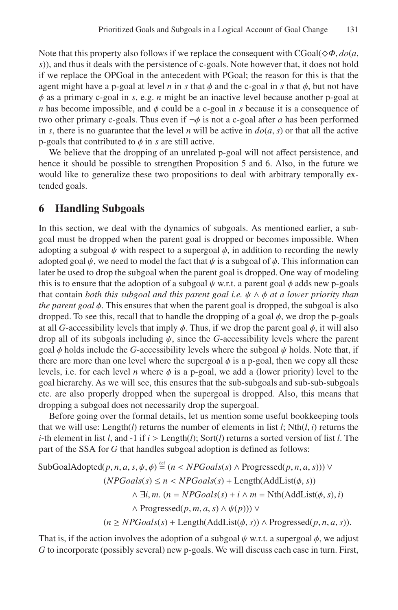Note that this property also follows if we replace the consequent with  $CGoal(\diamond \Phi, do(a,$ *s*)), and thus it deals with the persistence of c-goals. Note however that, it does not hold if we replace the OPGoal in the antecedent with PGoal; the reason for this is that the agent might have a p-goal at level *n* in *s* that  $\phi$  and the c-goal in *s* that  $\phi$ , but not have φ as a primary c-goal in *s*, e.g. *n* might be an inactive level because another p-goal at *n* has become impossible, and  $\phi$  could be a c-goal in *s* because it is a consequence of two other primary c-goals. Thus even if  $\neg \phi$  is not a c-goal after *a* has been performed in *s*, there is no guarantee that the level *n* will be active in  $do(a, s)$  or that all the active p-goals that contributed to  $\phi$  in *s* are still active.

We believe that the dropping of an unrelated p-goal will not affect persistence, and hence it should be possible to strengthen Proposition 5 and 6. Also, in the future we would like to generalize these two propositions to deal with arbitrary temporally extended goals.

# **6 Handling Subgoals**

In this section, we deal with the dynamics of subgoals. As mentioned earlier, a subgoal must be dropped when the parent goal is dropped or becomes impossible. When adopting a subgoal  $\psi$  with respect to a supergoal  $\phi$ , in addition to recording the newly adopted goal  $\psi$ , we need to model the fact that  $\psi$  is a subgoal of  $\phi$ . This information can later be used to drop the subgoal when the parent goal is dropped. One way of modeling this is to ensure that the adoption of a subgoal  $\psi$  w.r.t. a parent goal  $\phi$  adds new p-goals that contain *both this subgoal and this parent goal i.e.* ψ ∧ φ *at a lower priority than the parent goal* φ. This ensures that when the parent goal is dropped, the subgoal is also dropped. To see this, recall that to handle the dropping of a goal  $\phi$ , we drop the p-goals at all *G*-accessibility levels that imply  $\phi$ . Thus, if we drop the parent goal  $\phi$ , it will also drop all of its subgoals including ψ, since the *G*-accessibility levels where the parent goal  $\phi$  holds include the *G*-accessibility levels where the subgoal  $\psi$  holds. Note that, if there are more than one level where the supergoal  $\phi$  is a p-goal, then we copy all these levels, i.e. for each level *n* where  $\phi$  is a p-goal, we add a (lower priority) level to the goal hierarchy. As we will see, this ensures that the sub-subgoals and sub-sub-subgoals etc. are also properly dropped when the supergoal is dropped. Also, this means that dropping a subgoal does not necessarily drop the supergoal.

Before going over the formal details, let us mention some useful bookkeeping tools that we will use: Length( $l$ ) returns the number of elements in list  $l$ ; Nth( $l$ ,  $i$ ) returns the *i*-th element in list *l*, and -1 if  $i >$  Length(*l*); Sort(*l*) returns a sorted version of list *l*. The part of the SSA for *G* that handles subgoal adoption is defined as follows:

 $\text{SubGoalAdopted}(p, n, a, s, \psi, \phi) \stackrel{\text{def}}{=} (n < NPGoals(s) \land \text{Progressed}(p, n, a, s)) \lor$  $(NPGoals(s) \leq n \leq NPGoal(s) + Length(AddList(\phi, s))$ ∧ ∃*i*, *m*. (*n* = *NPGoals*(*s*) + *i* ∧ *m* = Nth(AddList(φ, *s*), *i*) ∧ Progressed(*p*, *m*, *a*, *s*) ∧ ψ(*p*))) ∨  $(n \ge NPGoal(s) + Length(AddList(\phi, s)) \land Progressed(p, n, a, s)).$ 

That is, if the action involves the adoption of a subgoal  $\psi$  w.r.t. a supergoal  $\phi$ , we adjust *G* to incorporate (possibly several) new p-goals. We will discuss each case in turn. First,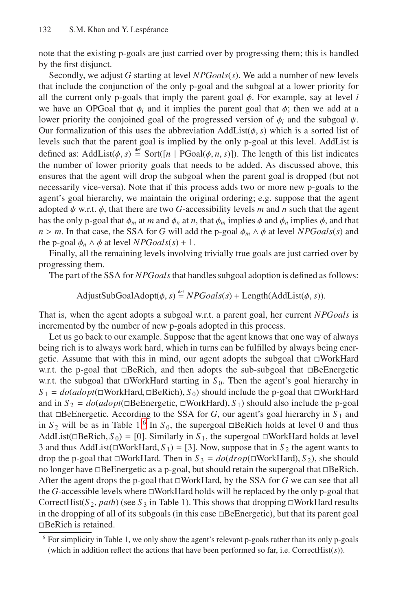note that the existing p-goals are just carried over by progressing them; this is handled by the first disjunct.

Secondly, we adjust *G* starting at level *NPGoals*(*s*). We add a number of new levels that include the conjunction of the only p-goal and the subgoal at a lower priority for all the current only p-goals that imply the parent goal  $\phi$ . For example, say at level *i* we have an OPGoal that  $\phi_i$  and it implies the parent goal that  $\phi$ ; then we add at a lower priority the conjoined goal of the progressed version of  $\phi_i$  and the subgoal  $\psi$ . Our formalization of this uses the abbreviation AddList( $\phi$ , *s*) which is a sorted list of levels such that the parent goal is implied by the only p-goal at this level. AddList is defined as: AddList( $\phi$ ,  $s$ )  $\stackrel{\text{def}}{=}$  Sort([*n* | PGoal( $\phi$ , *n*, *s*)]). The length of this list indicates the number of lower priority goals that needs to be added. As discussed above, this ensures that the agent will drop the subgoal when the parent goal is dropped (but not necessarily vice-versa). Note that if this process adds two or more new p-goals to the agent's goal hierarchy, we maintain the original ordering; e.g. suppose that the agent adopted  $\psi$  w.r.t.  $\phi$ , that there are two *G*-accessibility levels *m* and *n* such that the agent has the only p-goal that  $\phi_m$  at *m* and  $\phi_n$  at *n*, that  $\phi_m$  implies  $\phi$  and  $\phi_n$  implies  $\phi$ , and that  $n > m$ . In that case, the SSA for *G* will add the p-goal  $\phi_m \wedge \phi$  at level *NPGoals*(*s*) and the p-goal  $\phi_n \wedge \phi$  at level *NPGoals*(*s*) + 1.

Finally, all the remaining levels involving trivially true goals are just carried over by progressing them.

The part of the SSA for *NPGoals*that handles subgoal adoption is defined as follows:

# AdjustSubGoalAdopt( $\phi$ ,  $s$ )  $\stackrel{\text{def}}{=} NPGoals(s) + Length(AddList(\phi, s))$ .

That is, when the agent adopts a subgoal w.r.t. a parent goal, her current *NPGoals* is incremented by the number of new p-goals adopted in this process.

Let [us](#page-13-0) go back to our example. Suppose that the agent knows that one way of always being rich is to always work hard, which in turns can be fulfilled by always being energetic. Assume that with this in mind, our agent adopts the subgoal that  $\square$ WorkHard w.r.t. the p-goal that  $\Box$ BeRich, and then adopts the sub-subgoal that  $\Box$ BeEnergetic w.r.t. the subgoal that  $\square$ WorkHard starting in  $S_0$ . Then the agent's goal hierarchy in  $S_1 = do (adopt(\Box WorkHard, \Box Bekich), S_0)$  should include the p-goal that  $\Box WorkHard$ and in  $S_2 = do (adopt(\Box BeEnergetic, \Box WorkHard), S_1)$  should also include the p-goal that  $\Box$ BeEnergetic. According to the SSA for *G*, our agent's goal hierarchy in  $S_1$  and in  $S_2$  will be as in Table 1.<sup>6</sup> In  $S_0$ , the supergoal  $\Box$ BeRich holds at level 0 and thus AddList( $\Box$ BeRich,  $S_0$ ) = [0]. Similarly in  $S_1$ , the supergoal  $\Box$ WorkHard holds at level 3 and thus AddList( $\Box$ WorkHard,  $S_1$ ) = [3]. Now, suppose that in  $S_2$  the agent wants to drop the p-goal that  $\Box$ WorkHard. Then in  $S_3 = \text{do}(\text{drop}(\Box \text{WorkHard}), S_2)$ , she should no longer have □BeEnergetic as a p-goal, but should retain the supergoal that □BeRich. After the agent drops the p-goal that  $\Box$ WorkHard, by the SSA for *G* we can see that all the *G*-accessible levels where  $\Box$ WorkHard holds will be replaced by the only p-goal that CorrectHist( $S_2$ , path) (see  $S_3$  in Table 1). This shows that dropping  $\square$ WorkHard results in the dropping of all of its subgoals (in this case  $\Box$ BeEnergetic), but that its parent goal □BeRich is retained.

<span id="page-13-0"></span> $6$  For simplicity in Table 1, we only show the agent's relevant p-goals rather than its only p-goals (which in addition reflect the actions that have been performed so far, i.e. CorrectHist(*s*)).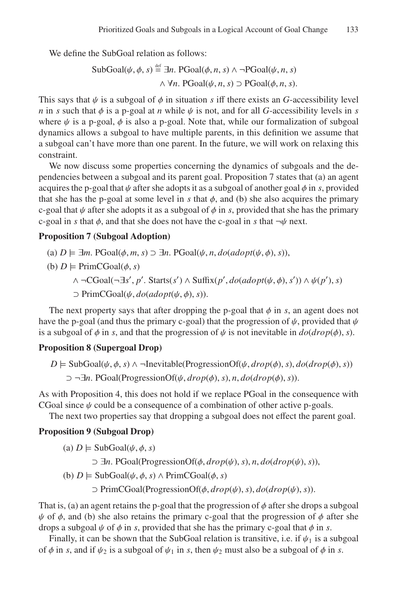We define the SubGoal relation as follows:

 $\text{SubGoal}(\psi, \phi, s) \stackrel{\text{def}}{=} \exists n. \text{ PGoal}(\phi, n, s) \land \neg \text{PGoal}(\psi, n, s)$  $∧ \forall n$ . PGoal( $\psi, n, s$ ) ⊃ PGoal( $\phi, n, s$ ).

This says that  $\psi$  is a subgoal of  $\phi$  in situation *s* iff there exists an *G*-accessibility level *n* in *s* such that  $\phi$  is a p-goal at *n* while  $\psi$  is not, and for all *G*-accessibility levels in *s* where  $\psi$  is a p-goal,  $\phi$  is also a p-goal. Note that, while our formalization of subgoal dynamics allows a subgoal to have multiple parents, in this definition we assume that a subgoal can't have more than one parent. In the future, we will work on relaxing this constraint.

We now discuss some properties concerning the dynamics of subgoals and the dependencies between a subgoal and its parent goal. Proposition 7 states that (a) an agent acquires the p-goal that  $\psi$  after she adopts it as a subgoal of another goal  $\phi$  in *s*, provided that she has the p-goal at some level in  $s$  that  $\phi$ , and (b) she also acquires the primary c-goal that  $\psi$  after she adopts it as a subgoal of  $\phi$  in *s*, provided that she has the primary c-goal in *s* that  $\phi$ , and that she does not have the c-goal in *s* that  $\neg \psi$  next.

### **Proposition 7 (Subgoal Adoption)**

- (a)  $D \models \exists m$ . PGoal $(\phi, m, s) \supset \exists n$ . PGoal $(\psi, n, do (adopt(\psi, \phi), s))$ ,
- (b)  $D \models \text{PrimCGoal}(\phi, s)$ 
	- $\land \neg CGoal(\neg \exists s', p'. \text{Starts}(s') \land \text{Suffix}(p', do(adopt(\psi, \phi), s')) \land \psi(p'), s)$
	- $\supset$  PrimCGoal( $\psi$ , *do*(*adopt*( $\psi$ ,  $\phi$ ), *s*)).

The next property says that after dropping the p-goal that  $\phi$  in *s*, an agent does not have the p-goal (and thus the primary c-goal) that the progression of  $\psi$ , provided that  $\psi$ is a subgoal of  $\phi$  in *s*, and that the progression of  $\psi$  is not inevitable in  $do(drop(\phi), s)$ .

### **Proposition 8 (Supergoal Drop)**

```
D \models \text{SubGoal}(\psi, \phi, s) \land \neg \text{Inevitable(ProgramOf}(\psi, drop(\phi), s), do(drop(\phi), s))⊃ ¬∃n. PGoal(ProgressionOf(ψ, drop(φ), s), n, do(drop(φ), s)).
```
As with Proposition 4, this does not hold if we replace PGoal in the consequence with CGoal since  $\psi$  could be a consequence of a combination of other active p-goals.

The next two properties say that dropping a subgoal does not effect the parent goal.

### **Proposition 9 (Subgoal Drop)**

\n- (a) *D* ⊨ SubGoal(
$$
\psi
$$
,  $\phi$ , *s*)
\n- supset  $\exists n$ . PGoal(ProgressionOf( $\phi$ ,  $drop(\psi)$ , *s*), *n*,  $do(drop(\psi), s)$ ),
\n- (b) *D* ⊨ SubGoal( $\psi$ ,  $\phi$ , *s*) ∧ PrimCGoal( $\phi$ , *s*)
\n- sup<sub>2</sub> PrimCGoal(ProgressionOf( $\phi$ ,  $drop(\psi)$ , *s*),  $do(drop(\psi), s)$ ).
\n

That is, (a) an agent retains the p-goal that the progression of  $\phi$  after she drops a subgoal  $\psi$  of  $\phi$ , and (b) she also retains the primary c-goal that the progression of  $\phi$  after she drops a subgoal  $\psi$  of  $\phi$  in *s*, provided that she has the primary c-goal that  $\phi$  in *s*.

Finally, it can be shown that the SubGoal relation is transitive, i.e. if  $\psi_1$  is a subgoal of  $\phi$  in *s*, and if  $\psi_2$  is a subgoal of  $\psi_1$  in *s*, then  $\psi_2$  must also be a subgoal of  $\phi$  in *s*.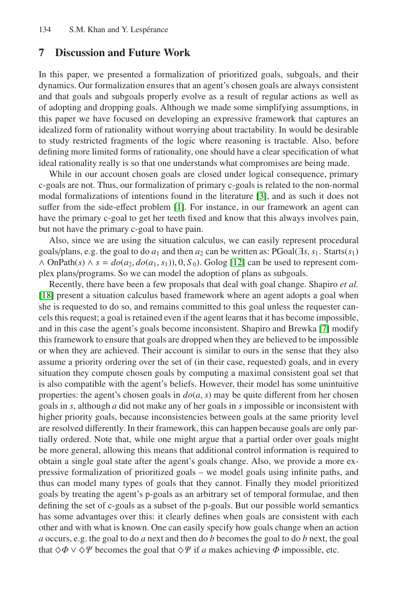# **7 Discussion and Future Work**

In this paper, we presented a formalization of prioritized goals, subgoals, and their dynamics. Our formalization ensures that an agent's chosen goals are always consistent and that goals and subgoals properly evolve as a result of regular actions as well as of adopting and dropping goals. Altho[ug](#page-16-5)h we made some simplifying assumptions, in this paper we h[av](#page-16-2)e focused on developing an expressive framework that captures an idealized form of rationality without worrying about tractability. In would be desirable to study restricted fragments of the logic where reasoning is tractable. Also, before defining more limited forms of rationality, one should have a clear specification of what ideal rationality really is so that one understands what compromises are being made.

While in our account chose[n go](#page-17-5)als are closed under logical consequence, primary c-goals are not. Thus, our formalization of primary c-goals is related to the non-normal modal formalizations of intentions found in the literature [3], and as such it does not suffer from the side-effect problem [1]. For instance, in our framework an agent can have the primary c-goal to get her teeth fixed and know that this always involves pain, but not have the primary c-goal to have pain.

Also, since we are using the situation calculus, we [can](#page-16-1) easily represent procedural goals/plans, e.g. the goal to do  $a_1$  and then  $a_2$  can be written as: PGoal( $\exists s, s_1$ . Starts( $s_1$ ) ∧ OnPath(s)  $\land$  s =  $do(a_2, do(a_1, s_1))$ , 0, S<sub>0</sub>). Golog [12] can be used to represent complex plans/programs. So we can model the adoption of plans as subgoals.

Recently, there have been a few proposals that deal with goal change. Shapiro *et al.* [18] present a situation calculus based framework where an agent adopts a goal when she is requested to do so, and remains committed to this goal unless the requester cancels this request; a goal is retained even if the agent learns that it has become impossible, and in this case the agent's goals become inconsistent. Shapiro and Brewka [7] modify this framework to ensure that goals are dropped when they are believed to be impossible or when they are achieved. Their account is similar to ours in the sense that they also assume a priority ordering over the set of (in their case, requested) goals, and in every situation they compute chosen goals by computing a maximal consistent goal set that is also compatible with the agent's beliefs. However, their model has some unintuitive properties: the agent's chosen goals in  $do(a, s)$  may be quite different from her chosen goals in *s*, although *a* did not make any of her goals in *s* impossible or inconsistent with higher priority goals, because inconsistencies between goals at the same priority level are resolved differently. In their framework, this can happen because goals are only partially ordered. Note that, while one might argue that a partial order over goals might be more general, allowing this means that additional control information is required to obtain a single goal state after the agent's goals change. Also, we provide a more expressive formalization of prioritized goals – we model goals using infinite paths, and thus can model many types of goals that they cannot. Finally they model prioritized goals by treating the agent's p-goals as an arbitrary set of temporal formulae, and then defining the set of c-goals as a subset of the p-goals. But our possible world semantics has some advantages over this: it clearly defines when goals are consistent with each other and with what is known. One can easily specify how goals change when an action *a* occurs, e.g. the goal to do *a* next and then do *b* becomes the goal to do *b* next, the goal that  $\Diamond \Phi \lor \Diamond \Psi$  becomes the goal that  $\Diamond \Psi$  if *a* makes achieving  $\Phi$  impossible, etc.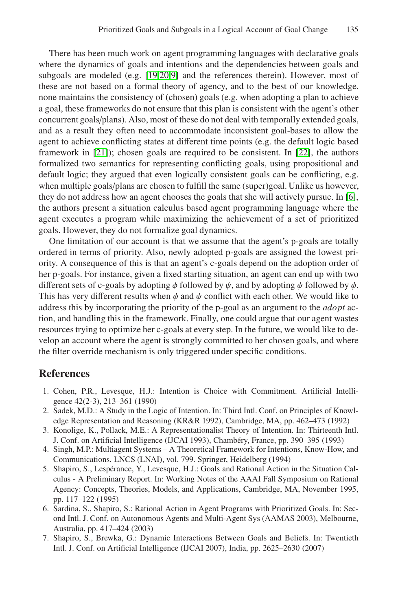There has been much work on agent programming languages with declarative goals where the dynamics of goals and intentions and [the](#page-17-6) dependencies between goals and subgoals are modeled (e.g. [19,20,9] and the references therein). However, most of these are not based on a formal theory of agency, and to the best of our knowledge, none maintains the consistency of (chosen) goals (e.g. when adopting a plan to achieve a goal, these frameworks do not ensure that this plan is consiste[nt](#page-16-0) with the agent's other concurrent goals/plans). Also, most of these do not deal with temporally extended goals, and as a result they often need to accommodate inconsistent goal-bases to allow the agent to achieve conflicting states at different time points (e.g. the default logic based framework in [21]); chosen goals are required to be consistent. In [22], the authors formalized two semantics for representing conflicting goals, using propositional and default logic; they argued that even logically consistent goals can be conflicting, e.g. when multiple goals/plans are chosen to fulfill the same (super)goal. Unlike us however, they do not address how an agent chooses the goals that she will actively pursue. In [6], the authors present a situation calculus based agent programming language where the agent executes a program while maximizing the achievement of a set of prioritized goals. However, they do not formalize goal dynamics.

<span id="page-16-2"></span>One limitation of our account is that we assume that the agent's p-goals are totally ordered in terms of priority. Also, newly adopted p-goals are assigned the lowest priority. A consequence of this is that an agent's c-goals depend on the adoption order of her p-goals. For instance, given a fixed starting situation, an agent can end up with two different sets of c-goals by adopting  $\phi$  followed by  $\psi$ , and by adopting  $\psi$  followed by  $\phi$ . This has very different results when  $\phi$  and  $\psi$  conflict with each other. We would like to address this by incorporating the priority of the p-goal as an argument to the *adopt* action, and handling this in the framework. Finally, one could argue that our agent wastes resources trying to optimize her c-goals at every step. In the future, we would like to develop an account where the agent is strongly committed to her chosen goals, and where the filter override mechanism is only triggered under specific conditions.

### <span id="page-16-5"></span><span id="page-16-4"></span><span id="page-16-3"></span>**References**

- 1. Cohen, P.R., Levesque, H.J.: Intention is Choice with Commitment. Artificial Intelligence 42(2-3), 213–361 (1990)
- <span id="page-16-0"></span>2. Sadek, M.D.: A Study in the Logic of Intention. In: Third Intl. Conf. on Principles of Knowledge Representation and Reasoning (KR&R 1992), Cambridge, MA, pp. 462–473 (1992)
- 3. Konolige, K., Pollack, M.E.: A Representationalist Theory of Intention. In: Thirteenth Intl. J. Conf. on Artificial Intelligence (IJCAI 1993), Chambéry, France, pp. 390-395 (1993)
- <span id="page-16-1"></span>4. Singh, M.P.: Multiagent Systems – A Theoretical Framework for Intentions, Know-How, and Communications. LNCS (LNAI), vol. 799. Springer, Heidelberg (1994)
- 5. Shapiro, S., Lespérance, Y., Levesque, H.J.: Goals and Rational Action in the Situation Calculus - A Preliminary Report. In: Working Notes of the AAAI Fall Symposium on Rational Agency: Concepts, Theories, Models, and Applications, Cambridge, MA, November 1995, pp. 117–122 (1995)
- 6. Sardina, S., Shapiro, S.: Rational Action in Agent Programs with Prioritized Goals. In: Second Intl. J. Conf. on Autonomous Agents and Multi-Agent Sys (AAMAS 2003), Melbourne, Australia, pp. 417–424 (2003)
- 7. Shapiro, S., Brewka, G.: Dynamic Interactions Between Goals and Beliefs. In: Twentieth Intl. J. Conf. on Artificial Intelligence (IJCAI 2007), India, pp. 2625–2630 (2007)